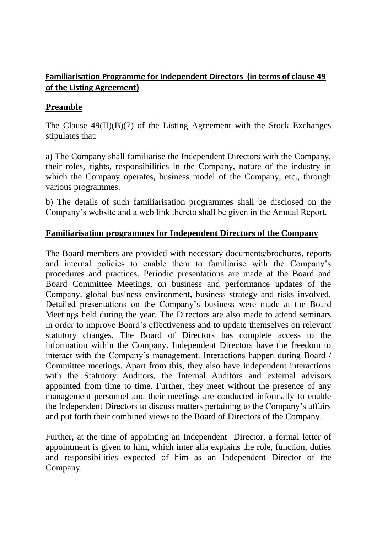## **Familiarisation Programme for Independent Directors (in terms of clause 49 of the Listing Agreement)**

## **Preamble**

The Clause  $49(II)(B)(7)$  of the Listing Agreement with the Stock Exchanges stipulates that:

a) The Company shall familiarise the Independent Directors with the Company, their roles, rights, responsibilities in the Company, nature of the industry in which the Company operates, business model of the Company, etc., through various programmes.

b) The details of such familiarisation programmes shall be disclosed on the Company's website and a web link thereto shall be given in the Annual Report.

## **Familiarisation programmes for Independent Directors of the Company**

The Board members are provided with necessary documents/brochures, reports and internal policies to enable them to familiarise with the Company's procedures and practices. Periodic presentations are made at the Board and Board Committee Meetings, on business and performance updates of the Company, global business environment, business strategy and risks involved. Detailed presentations on the Company's business were made at the Board Meetings held during the year. The Directors are also made to attend seminars in order to improve Board's effectiveness and to update themselves on relevant statutory changes. The Board of Directors has complete access to the information within the Company. Independent Directors have the freedom to interact with the Company's management. Interactions happen during Board / Committee meetings. Apart from this, they also have independent interactions with the Statutory Auditors, the Internal Auditors and external advisors appointed from time to time. Further, they meet without the presence of any management personnel and their meetings are conducted informally to enable the Independent Directors to discuss matters pertaining to the Company's affairs and put forth their combined views to the Board of Directors of the Company.

Further, at the time of appointing an Independent Director, a formal letter of appointment is given to him, which inter alia explains the role, function, duties and responsibilities expected of him as an Independent Director of the Company.